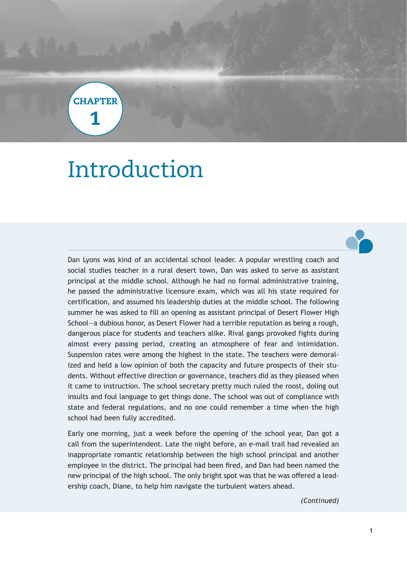**CHAPTER** 1

# Introduction

Dan Lyons was kind of an accidental school leader. A popular wrestling coach and social studies teacher in a rural desert town, Dan was asked to serve as assistant principal at the middle school. Although he had no formal administrative training, he passed the administrative licensure exam, which was all his state required for certification, and assumed his leadership duties at the middle school. The following summer he was asked to fill an opening as assistant principal of Desert Flower High School—a dubious honor, as Desert Flower had a terrible reputation as being a rough, dangerous place for students and teachers alike. Rival gangs provoked fights during almost every passing period, creating an atmosphere of fear and intimidation. Suspension rates were among the highest in the state. The teachers were demoralized and held a low opinion of both the capacity and future prospects of their students. Without effective direction or governance, teachers did as they pleased when it came to instruction. The school secretary pretty much ruled the roost, doling out insults and foul language to get things done. The school was out of compliance with state and federal regulations, and no one could remember a time when the high school had been fully accredited.

Early one morning, just a week before the opening of the school year, Dan got a call from the superintendent. Late the night before, an e-mail trail had revealed an inappropriate romantic relationship between the high school principal and another employee in the district. The principal had been fired, and Dan had been named the new principal of the high school. The only bright spot was that he was offered a leadership coach, Diane, to help him navigate the turbulent waters ahead.

*(Continued)*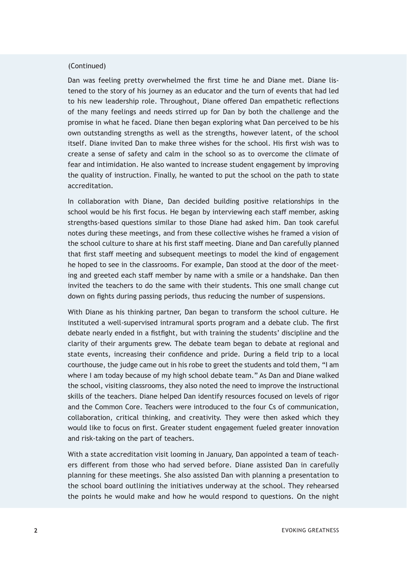#### (Continued)

Dan was feeling pretty overwhelmed the first time he and Diane met. Diane listened to the story of his journey as an educator and the turn of events that had led to his new leadership role. Throughout, Diane offered Dan empathetic reflections of the many feelings and needs stirred up for Dan by both the challenge and the promise in what he faced. Diane then began exploring what Dan perceived to be his own outstanding strengths as well as the strengths, however latent, of the school itself. Diane invited Dan to make three wishes for the school. His first wish was to create a sense of safety and calm in the school so as to overcome the climate of fear and intimidation. He also wanted to increase student engagement by improving the quality of instruction. Finally, he wanted to put the school on the path to state accreditation.

In collaboration with Diane, Dan decided building positive relationships in the school would be his first focus. He began by interviewing each staff member, asking strengths-based questions similar to those Diane had asked him. Dan took careful notes during these meetings, and from these collective wishes he framed a vision of the school culture to share at his first staff meeting. Diane and Dan carefully planned that first staff meeting and subsequent meetings to model the kind of engagement he hoped to see in the classrooms. For example, Dan stood at the door of the meeting and greeted each staff member by name with a smile or a handshake. Dan then invited the teachers to do the same with their students. This one small change cut down on fights during passing periods, thus reducing the number of suspensions.

With Diane as his thinking partner, Dan began to transform the school culture. He instituted a well-supervised intramural sports program and a debate club. The first debate nearly ended in a fistfight, but with training the students' discipline and the clarity of their arguments grew. The debate team began to debate at regional and state events, increasing their confidence and pride. During a field trip to a local courthouse, the judge came out in his robe to greet the students and told them, "I am where I am today because of my high school debate team." As Dan and Diane walked the school, visiting classrooms, they also noted the need to improve the instructional skills of the teachers. Diane helped Dan identify resources focused on levels of rigor and the Common Core. Teachers were introduced to the four Cs of communication, collaboration, critical thinking, and creativity. They were then asked which they would like to focus on first. Greater student engagement fueled greater innovation and risk-taking on the part of teachers.

With a state accreditation visit looming in January, Dan appointed a team of teachers different from those who had served before. Diane assisted Dan in carefully planning for these meetings. She also assisted Dan with planning a presentation to the school board outlining the initiatives underway at the school. They rehearsed the points he would make and how he would respond to questions. On the night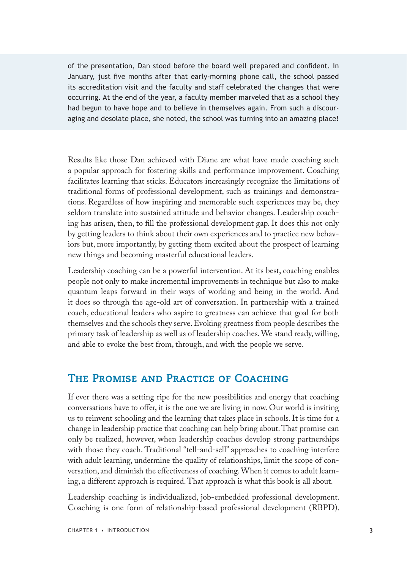of the presentation, Dan stood before the board well prepared and confident. In January, just five months after that early-morning phone call, the school passed its accreditation visit and the faculty and staff celebrated the changes that were occurring. At the end of the year, a faculty member marveled that as a school they had begun to have hope and to believe in themselves again. From such a discouraging and desolate place, she noted, the school was turning into an amazing place!

Results like those Dan achieved with Diane are what have made coaching such a popular approach for fostering skills and performance improvement. Coaching facilitates learning that sticks. Educators increasingly recognize the limitations of traditional forms of professional development, such as trainings and demonstrations. Regardless of how inspiring and memorable such experiences may be, they seldom translate into sustained attitude and behavior changes. Leadership coaching has arisen, then, to fill the professional development gap. It does this not only by getting leaders to think about their own experiences and to practice new behaviors but, more importantly, by getting them excited about the prospect of learning new things and becoming masterful educational leaders.

Leadership coaching can be a powerful intervention. At its best, coaching enables people not only to make incremental improvements in technique but also to make quantum leaps forward in their ways of working and being in the world. And it does so through the age-old art of conversation. In partnership with a trained coach, educational leaders who aspire to greatness can achieve that goal for both themselves and the schools they serve. Evoking greatness from people describes the primary task of leadership as well as of leadership coaches. We stand ready, willing, and able to evoke the best from, through, and with the people we serve.

### **The Promise and Practice of Coaching**

If ever there was a setting ripe for the new possibilities and energy that coaching conversations have to offer, it is the one we are living in now. Our world is inviting us to reinvent schooling and the learning that takes place in schools. It is time for a change in leadership practice that coaching can help bring about. That promise can only be realized, however, when leadership coaches develop strong partnerships with those they coach. Traditional "tell-and-sell" approaches to coaching interfere with adult learning, undermine the quality of relationships, limit the scope of conversation, and diminish the effectiveness of coaching. When it comes to adult learning, a different approach is required. That approach is what this book is all about.

Leadership coaching is individualized, job-embedded professional development. Coaching is one form of relationship-based professional development (RBPD).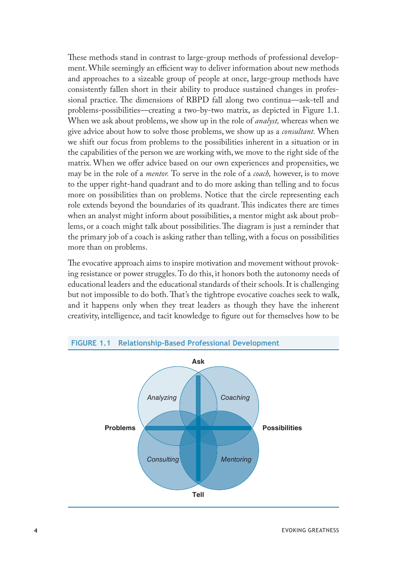These methods stand in contrast to large-group methods of professional development. While seemingly an efficient way to deliver information about new methods and approaches to a sizeable group of people at once, large-group methods have consistently fallen short in their ability to produce sustained changes in professional practice. The dimensions of RBPD fall along two continua—ask-tell and problems-possibilities—creating a two-by-two matrix, as depicted in Figure 1.1. When we ask about problems, we show up in the role of *analyst,* whereas when we give advice about how to solve those problems, we show up as a *consultant.* When we shift our focus from problems to the possibilities inherent in a situation or in the capabilities of the person we are working with, we move to the right side of the matrix. When we offer advice based on our own experiences and propensities, we may be in the role of a *mentor.* To serve in the role of a *coach,* however, is to move to the upper right-hand quadrant and to do more asking than telling and to focus more on possibilities than on problems. Notice that the circle representing each role extends beyond the boundaries of its quadrant. This indicates there are times when an analyst might inform about possibilities, a mentor might ask about problems, or a coach might talk about possibilities. The diagram is just a reminder that the primary job of a coach is asking rather than telling, with a focus on possibilities more than on problems.

The evocative approach aims to inspire motivation and movement without provoking resistance or power struggles. To do this, it honors both the autonomy needs of educational leaders and the educational standards of their schools. It is challenging but not impossible to do both. That's the tightrope evocative coaches seek to walk, and it happens only when they treat leaders as though they have the inherent creativity, intelligence, and tacit knowledge to figure out for themselves how to be



### **FIGURE 1.1 Relationship-Based Professional Development**

**4** EVOKING GREATNESS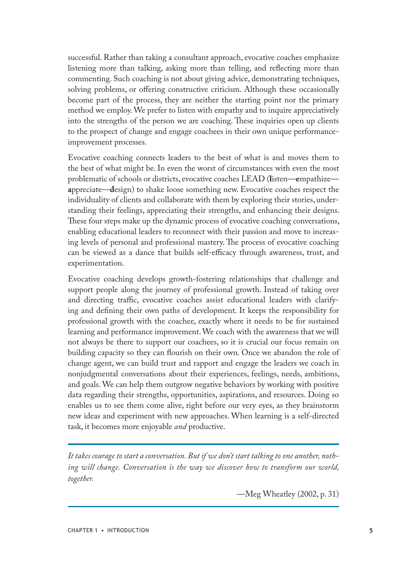successful. Rather than taking a consultant approach, evocative coaches emphasize listening more than talking, asking more than telling, and reflecting more than commenting. Such coaching is not about giving advice, demonstrating techniques, solving problems, or offering constructive criticism. Although these occasionally become part of the process, they are neither the starting point nor the primary method we employ. We prefer to listen with empathy and to inquire appreciatively into the strengths of the person we are coaching. These inquiries open up clients to the prospect of change and engage coachees in their own unique performanceimprovement processes.

Evocative coaching connects leaders to the best of what is and moves them to the best of what might be. In even the worst of circumstances with even the most problematic of schools or districts, evocative coaches LEAD (**l**isten—**e**mpathize **a**ppreciate—**d**esign) to shake loose something new. Evocative coaches respect the individuality of clients and collaborate with them by exploring their stories, understanding their feelings, appreciating their strengths, and enhancing their designs. These four steps make up the dynamic process of evocative coaching conversations, enabling educational leaders to reconnect with their passion and move to increasing levels of personal and professional mastery. The process of evocative coaching can be viewed as a dance that builds self-efficacy through awareness, trust, and experimentation.

Evocative coaching develops growth-fostering relationships that challenge and support people along the journey of professional growth. Instead of taking over and directing traffic, evocative coaches assist educational leaders with clarifying and defining their own paths of development. It keeps the responsibility for professional growth with the coachee, exactly where it needs to be for sustained learning and performance improvement. We coach with the awareness that we will not always be there to support our coachees, so it is crucial our focus remain on building capacity so they can flourish on their own. Once we abandon the role of change agent, we can build trust and rapport and engage the leaders we coach in nonjudgmental conversations about their experiences, feelings, needs, ambitions, and goals. We can help them outgrow negative behaviors by working with positive data regarding their strengths, opportunities, aspirations, and resources. Doing so enables us to see them come alive, right before our very eyes, as they brainstorm new ideas and experiment with new approaches. When learning is a self-directed task, it becomes more enjoyable *and* productive.

*It takes courage to start a conversation. But if we don't start talking to one another, nothing will change. Conversation is the way we discover how to transform our world, together.*

—Meg Wheatley (2002, p. 31)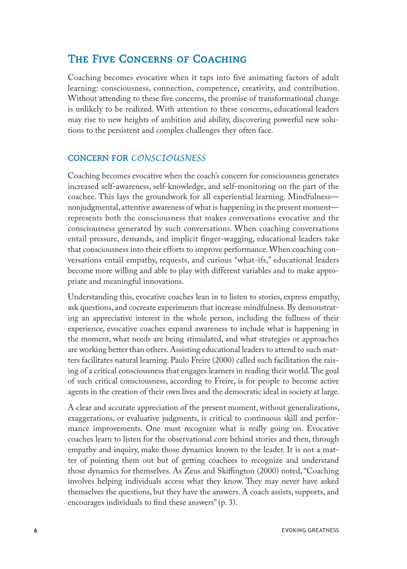### **The Five Concerns of Coaching**

Coaching becomes evocative when it taps into five animating factors of adult learning: consciousness, connection, competence, creativity, and contribution. Without attending to these five concerns, the promise of transformational change is unlikely to be realized. With attention to these concerns, educational leaders may rise to new heights of ambition and ability, discovering powerful new solutions to the persistent and complex challenges they often face.

### **CONCERN FOR** *CONSCIOUSNESS*

Coaching becomes evocative when the coach's concern for consciousness generates increased self-awareness, self-knowledge, and self-monitoring on the part of the coachee. This lays the groundwork for all experiential learning. Mindfulness nonjudgmental, attentive awareness of what is happening in the present moment represents both the consciousness that makes conversations evocative and the consciousness generated by such conversations. When coaching conversations entail pressure, demands, and implicit finger-wagging, educational leaders take that consciousness into their efforts to improve performance. When coaching conversations entail empathy, requests, and curious "what-ifs," educational leaders become more willing and able to play with different variables and to make appropriate and meaningful innovations.

Understanding this, evocative coaches lean in to listen to stories, express empathy, ask questions, and cocreate experiments that increase mindfulness. By demonstrating an appreciative interest in the whole person, including the fullness of their experience, evocative coaches expand awareness to include what is happening in the moment, what needs are being stimulated, and what strategies or approaches are working better than others. Assisting educational leaders to attend to such matters facilitates natural learning. Paulo Freire (2000) called such facilitation the raising of a critical consciousness that engages learners in reading their world. The goal of such critical consciousness, according to Freire, is for people to become active agents in the creation of their own lives and the democratic ideal in society at large.

A clear and accurate appreciation of the present moment, without generalizations, exaggerations, or evaluative judgments, is critical to continuous skill and performance improvements. One must recognize what is really going on. Evocative coaches learn to listen for the observational core behind stories and then, through empathy and inquiry, make those dynamics known to the leader. It is not a matter of pointing them out but of getting coachees to recognize and understand those dynamics for themselves. As Zeus and Skiffington (2000) noted, "Coaching involves helping individuals access what they know. They may never have asked themselves the questions, but they have the answers. A coach assists, supports, and encourages individuals to find these answers" (p. 3).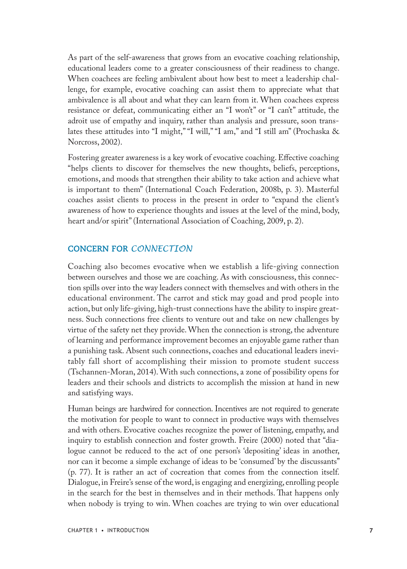As part of the self-awareness that grows from an evocative coaching relationship, educational leaders come to a greater consciousness of their readiness to change. When coachees are feeling ambivalent about how best to meet a leadership challenge, for example, evocative coaching can assist them to appreciate what that ambivalence is all about and what they can learn from it. When coachees express resistance or defeat, communicating either an "I won't" or "I can't" attitude, the adroit use of empathy and inquiry, rather than analysis and pressure, soon translates these attitudes into "I might," "I will," "I am," and "I still am" (Prochaska & Norcross, 2002).

Fostering greater awareness is a key work of evocative coaching. Effective coaching "helps clients to discover for themselves the new thoughts, beliefs, perceptions, emotions, and moods that strengthen their ability to take action and achieve what is important to them" (International Coach Federation, 2008b, p. 3). Masterful coaches assist clients to process in the present in order to "expand the client's awareness of how to experience thoughts and issues at the level of the mind, body, heart and/or spirit" (International Association of Coaching, 2009, p. 2).

#### **CONCERN FOR** *CONNECTION*

Coaching also becomes evocative when we establish a life-giving connection between ourselves and those we are coaching. As with consciousness, this connection spills over into the way leaders connect with themselves and with others in the educational environment. The carrot and stick may goad and prod people into action, but only life-giving, high-trust connections have the ability to inspire greatness. Such connections free clients to venture out and take on new challenges by virtue of the safety net they provide. When the connection is strong, the adventure of learning and performance improvement becomes an enjoyable game rather than a punishing task. Absent such connections, coaches and educational leaders inevitably fall short of accomplishing their mission to promote student success (Tschannen-Moran, 2014). With such connections, a zone of possibility opens for leaders and their schools and districts to accomplish the mission at hand in new and satisfying ways.

Human beings are hardwired for connection. Incentives are not required to generate the motivation for people to want to connect in productive ways with themselves and with others. Evocative coaches recognize the power of listening, empathy, and inquiry to establish connection and foster growth. Freire (2000) noted that "dialogue cannot be reduced to the act of one person's 'depositing' ideas in another, nor can it become a simple exchange of ideas to be 'consumed' by the discussants" (p. 77). It is rather an act of cocreation that comes from the connection itself. Dialogue, in Freire's sense of the word, is engaging and energizing, enrolling people in the search for the best in themselves and in their methods. That happens only when nobody is trying to win. When coaches are trying to win over educational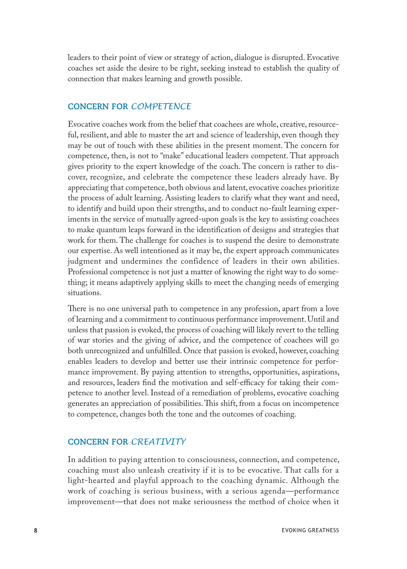leaders to their point of view or strategy of action, dialogue is disrupted. Evocative coaches set aside the desire to be right, seeking instead to establish the quality of connection that makes learning and growth possible.

### **CONCERN FOR** *COMPETENCE*

Evocative coaches work from the belief that coachees are whole, creative, resourceful, resilient, and able to master the art and science of leadership, even though they may be out of touch with these abilities in the present moment. The concern for competence, then, is not to "make" educational leaders competent. That approach gives priority to the expert knowledge of the coach. The concern is rather to discover, recognize, and celebrate the competence these leaders already have. By appreciating that competence, both obvious and latent, evocative coaches prioritize the process of adult learning. Assisting leaders to clarify what they want and need, to identify and build upon their strengths, and to conduct no-fault learning experiments in the service of mutually agreed-upon goals is the key to assisting coachees to make quantum leaps forward in the identification of designs and strategies that work for them. The challenge for coaches is to suspend the desire to demonstrate our expertise. As well intentioned as it may be, the expert approach communicates judgment and undermines the confidence of leaders in their own abilities. Professional competence is not just a matter of knowing the right way to do something; it means adaptively applying skills to meet the changing needs of emerging situations.

There is no one universal path to competence in any profession, apart from a love of learning and a commitment to continuous performance improvement. Until and unless that passion is evoked, the process of coaching will likely revert to the telling of war stories and the giving of advice, and the competence of coachees will go both unrecognized and unfulfilled. Once that passion is evoked, however, coaching enables leaders to develop and better use their intrinsic competence for performance improvement. By paying attention to strengths, opportunities, aspirations, and resources, leaders find the motivation and self-efficacy for taking their competence to another level. Instead of a remediation of problems, evocative coaching generates an appreciation of possibilities. This shift, from a focus on incompetence to competence, changes both the tone and the outcomes of coaching.

### **CONCERN FOR** *CREATIVITY*

In addition to paying attention to consciousness, connection, and competence, coaching must also unleash creativity if it is to be evocative. That calls for a light-hearted and playful approach to the coaching dynamic. Although the work of coaching is serious business, with a serious agenda—performance improvement—that does not make seriousness the method of choice when it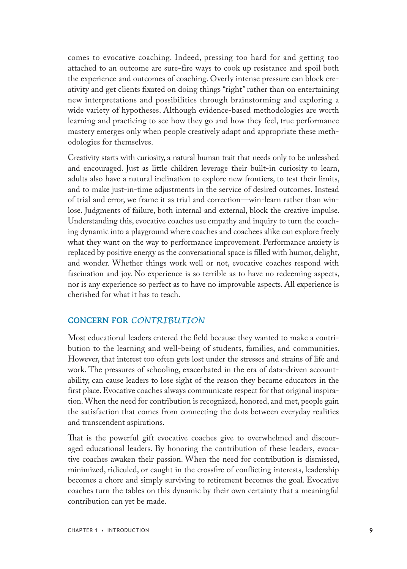comes to evocative coaching. Indeed, pressing too hard for and getting too attached to an outcome are sure-fire ways to cook up resistance and spoil both the experience and outcomes of coaching. Overly intense pressure can block creativity and get clients fixated on doing things "right" rather than on entertaining new interpretations and possibilities through brainstorming and exploring a wide variety of hypotheses. Although evidence-based methodologies are worth learning and practicing to see how they go and how they feel, true performance mastery emerges only when people creatively adapt and appropriate these methodologies for themselves.

Creativity starts with curiosity, a natural human trait that needs only to be unleashed and encouraged. Just as little children leverage their built-in curiosity to learn, adults also have a natural inclination to explore new frontiers, to test their limits, and to make just-in-time adjustments in the service of desired outcomes. Instead of trial and error, we frame it as trial and correction—win-learn rather than winlose. Judgments of failure, both internal and external, block the creative impulse. Understanding this, evocative coaches use empathy and inquiry to turn the coaching dynamic into a playground where coaches and coachees alike can explore freely what they want on the way to performance improvement. Performance anxiety is replaced by positive energy as the conversational space is filled with humor, delight, and wonder. Whether things work well or not, evocative coaches respond with fascination and joy. No experience is so terrible as to have no redeeming aspects, nor is any experience so perfect as to have no improvable aspects. All experience is cherished for what it has to teach.

### **CONCERN FOR** *CONTRIBUTION*

Most educational leaders entered the field because they wanted to make a contribution to the learning and well-being of students, families, and communities. However, that interest too often gets lost under the stresses and strains of life and work. The pressures of schooling, exacerbated in the era of data-driven accountability, can cause leaders to lose sight of the reason they became educators in the first place. Evocative coaches always communicate respect for that original inspiration. When the need for contribution is recognized, honored, and met, people gain the satisfaction that comes from connecting the dots between everyday realities and transcendent aspirations.

That is the powerful gift evocative coaches give to overwhelmed and discouraged educational leaders. By honoring the contribution of these leaders, evocative coaches awaken their passion. When the need for contribution is dismissed, minimized, ridiculed, or caught in the crossfire of conflicting interests, leadership becomes a chore and simply surviving to retirement becomes the goal. Evocative coaches turn the tables on this dynamic by their own certainty that a meaningful contribution can yet be made.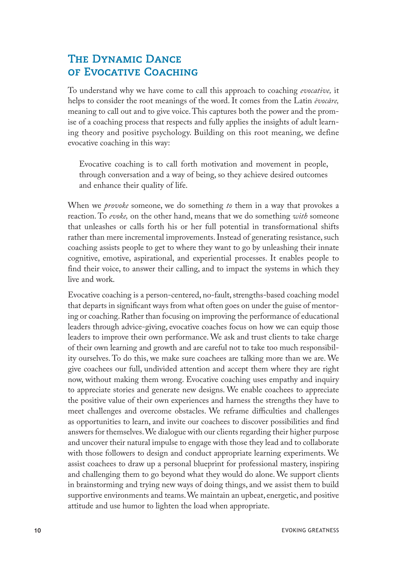### **The Dynamic Dance of Evocative Coaching**

To understand why we have come to call this approach to coaching *evocative,* it helps to consider the root meanings of the word. It comes from the Latin *ēvocāre,* meaning to call out and to give voice. This captures both the power and the promise of a coaching process that respects and fully applies the insights of adult learning theory and positive psychology. Building on this root meaning, we define evocative coaching in this way:

Evocative coaching is to call forth motivation and movement in people, through conversation and a way of being, so they achieve desired outcomes and enhance their quality of life.

When we *provoke* someone, we do something *to* them in a way that provokes a reaction. To *evoke,* on the other hand, means that we do something *with* someone that unleashes or calls forth his or her full potential in transformational shifts rather than mere incremental improvements. Instead of generating resistance, such coaching assists people to get to where they want to go by unleashing their innate cognitive, emotive, aspirational, and experiential processes. It enables people to find their voice, to answer their calling, and to impact the systems in which they live and work.

Evocative coaching is a person-centered, no-fault, strengths-based coaching model that departs in significant ways from what often goes on under the guise of mentoring or coaching. Rather than focusing on improving the performance of educational leaders through advice-giving, evocative coaches focus on how we can equip those leaders to improve their own performance. We ask and trust clients to take charge of their own learning and growth and are careful not to take too much responsibility ourselves. To do this, we make sure coachees are talking more than we are. We give coachees our full, undivided attention and accept them where they are right now, without making them wrong. Evocative coaching uses empathy and inquiry to appreciate stories and generate new designs. We enable coachees to appreciate the positive value of their own experiences and harness the strengths they have to meet challenges and overcome obstacles. We reframe difficulties and challenges as opportunities to learn, and invite our coachees to discover possibilities and find answers for themselves. We dialogue with our clients regarding their higher purpose and uncover their natural impulse to engage with those they lead and to collaborate with those followers to design and conduct appropriate learning experiments. We assist coachees to draw up a personal blueprint for professional mastery, inspiring and challenging them to go beyond what they would do alone. We support clients in brainstorming and trying new ways of doing things, and we assist them to build supportive environments and teams. We maintain an upbeat, energetic, and positive attitude and use humor to lighten the load when appropriate.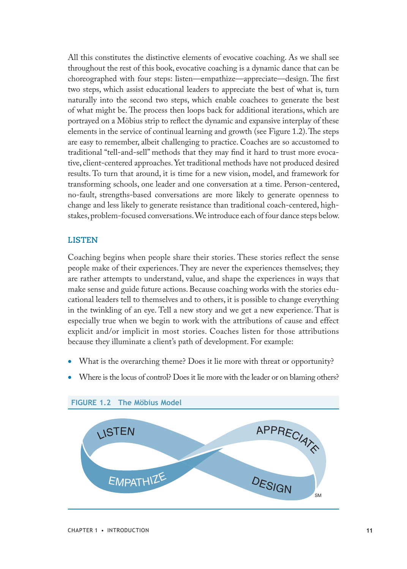All this constitutes the distinctive elements of evocative coaching. As we shall see throughout the rest of this book, evocative coaching is a dynamic dance that can be choreographed with four steps: listen—empathize—appreciate—design. The first two steps, which assist educational leaders to appreciate the best of what is, turn naturally into the second two steps, which enable coachees to generate the best of what might be. The process then loops back for additional iterations, which are portrayed on a Möbius strip to reflect the dynamic and expansive interplay of these elements in the service of continual learning and growth (see Figure 1.2). The steps are easy to remember, albeit challenging to practice. Coaches are so accustomed to traditional "tell-and-sell" methods that they may find it hard to trust more evocative, client-centered approaches. Yet traditional methods have not produced desired results. To turn that around, it is time for a new vision, model, and framework for transforming schools, one leader and one conversation at a time. Person-centered, no-fault, strengths-based conversations are more likely to generate openness to change and less likely to generate resistance than traditional coach-centered, highstakes, problem-focused conversations. We introduce each of four dance steps below.

### **LISTEN**

Coaching begins when people share their stories. These stories reflect the sense people make of their experiences. They are never the experiences themselves; they are rather attempts to understand, value, and shape the experiences in ways that make sense and guide future actions. Because coaching works with the stories educational leaders tell to themselves and to others, it is possible to change everything in the twinkling of an eye. Tell a new story and we get a new experience. That is especially true when we begin to work with the attributions of cause and effect explicit and/or implicit in most stories. Coaches listen for those attributions because they illuminate a client's path of development. For example:

- What is the overarching theme? Does it lie more with threat or opportunity?
- Where is the locus of control? Does it lie more with the leader or on blaming others?

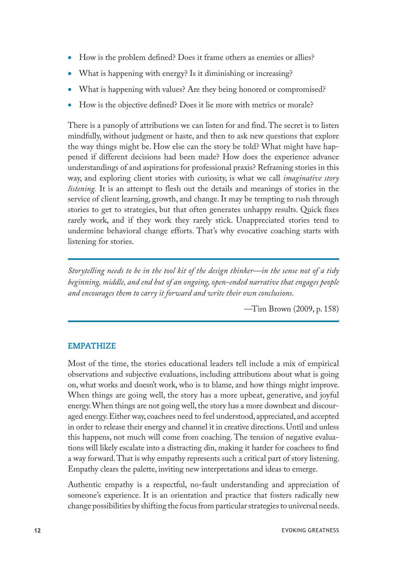- How is the problem defined? Does it frame others as enemies or allies?
- What is happening with energy? Is it diminishing or increasing?
- What is happening with values? Are they being honored or compromised?
- How is the objective defined? Does it lie more with metrics or morale?

There is a panoply of attributions we can listen for and find. The secret is to listen mindfully, without judgment or haste, and then to ask new questions that explore the way things might be. How else can the story be told? What might have happened if different decisions had been made? How does the experience advance understandings of and aspirations for professional praxis? Reframing stories in this way, and exploring client stories with curiosity, is what we call *imaginative story listening.* It is an attempt to flesh out the details and meanings of stories in the service of client learning, growth, and change. It may be tempting to rush through stories to get to strategies, but that often generates unhappy results. Quick fixes rarely work, and if they work they rarely stick. Unappreciated stories tend to undermine behavioral change efforts. That's why evocative coaching starts with listening for stories.

*Storytelling needs to be in the tool kit of the design thinker—in the sense not of a tidy beginning, middle, and end but of an ongoing, open-ended narrative that engages people and encourages them to carry it forward and write their own conclusions.*

—Tim Brown (2009, p. 158)

### **EMPATHIZE**

Most of the time, the stories educational leaders tell include a mix of empirical observations and subjective evaluations, including attributions about what is going on, what works and doesn't work, who is to blame, and how things might improve. When things are going well, the story has a more upbeat, generative, and joyful energy. When things are not going well, the story has a more downbeat and discouraged energy. Either way, coachees need to feel understood, appreciated, and accepted in order to release their energy and channel it in creative directions. Until and unless this happens, not much will come from coaching. The tension of negative evaluations will likely escalate into a distracting din, making it harder for coachees to find a way forward. That is why empathy represents such a critical part of story listening. Empathy clears the palette, inviting new interpretations and ideas to emerge.

Authentic empathy is a respectful, no-fault understanding and appreciation of someone's experience. It is an orientation and practice that fosters radically new change possibilities by shifting the focus from particular strategies to universal needs.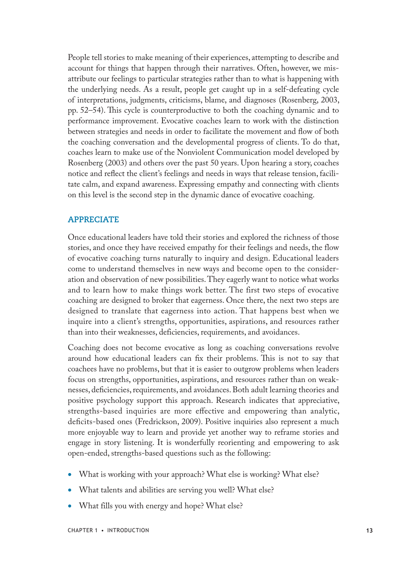People tell stories to make meaning of their experiences, attempting to describe and account for things that happen through their narratives. Often, however, we misattribute our feelings to particular strategies rather than to what is happening with the underlying needs. As a result, people get caught up in a self-defeating cycle of interpretations, judgments, criticisms, blame, and diagnoses (Rosenberg, 2003, pp. 52–54). This cycle is counterproductive to both the coaching dynamic and to performance improvement. Evocative coaches learn to work with the distinction between strategies and needs in order to facilitate the movement and flow of both the coaching conversation and the developmental progress of clients. To do that, coaches learn to make use of the Nonviolent Communication model developed by Rosenberg (2003) and others over the past 50 years. Upon hearing a story, coaches notice and reflect the client's feelings and needs in ways that release tension, facilitate calm, and expand awareness. Expressing empathy and connecting with clients on this level is the second step in the dynamic dance of evocative coaching.

### **APPRECIATE**

Once educational leaders have told their stories and explored the richness of those stories, and once they have received empathy for their feelings and needs, the flow of evocative coaching turns naturally to inquiry and design. Educational leaders come to understand themselves in new ways and become open to the consideration and observation of new possibilities. They eagerly want to notice what works and to learn how to make things work better. The first two steps of evocative coaching are designed to broker that eagerness. Once there, the next two steps are designed to translate that eagerness into action. That happens best when we inquire into a client's strengths, opportunities, aspirations, and resources rather than into their weaknesses, deficiencies, requirements, and avoidances.

Coaching does not become evocative as long as coaching conversations revolve around how educational leaders can fix their problems. This is not to say that coachees have no problems, but that it is easier to outgrow problems when leaders focus on strengths, opportunities, aspirations, and resources rather than on weaknesses, deficiencies, requirements, and avoidances. Both adult learning theories and positive psychology support this approach. Research indicates that appreciative, strengths-based inquiries are more effective and empowering than analytic, deficits-based ones (Fredrickson, 2009). Positive inquiries also represent a much more enjoyable way to learn and provide yet another way to reframe stories and engage in story listening. It is wonderfully reorienting and empowering to ask open-ended, strengths-based questions such as the following:

- What is working with your approach? What else is working? What else?
- What talents and abilities are serving you well? What else?
- What fills you with energy and hope? What else?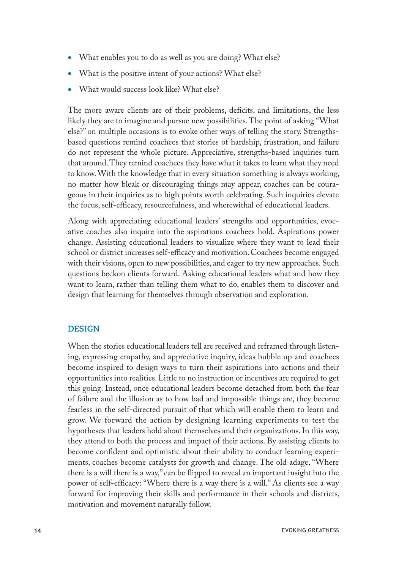- What enables you to do as well as you are doing? What else?
- What is the positive intent of your actions? What else?
- What would success look like? What else?

The more aware clients are of their problems, deficits, and limitations, the less likely they are to imagine and pursue new possibilities. The point of asking "What else?" on multiple occasions is to evoke other ways of telling the story. Strengthsbased questions remind coachees that stories of hardship, frustration, and failure do not represent the whole picture. Appreciative, strengths-based inquiries turn that around. They remind coachees they have what it takes to learn what they need to know. With the knowledge that in every situation something is always working, no matter how bleak or discouraging things may appear, coaches can be courageous in their inquiries as to high points worth celebrating. Such inquiries elevate the focus, self-efficacy, resourcefulness, and wherewithal of educational leaders.

Along with appreciating educational leaders' strengths and opportunities, evocative coaches also inquire into the aspirations coachees hold. Aspirations power change. Assisting educational leaders to visualize where they want to lead their school or district increases self-efficacy and motivation. Coachees become engaged with their visions, open to new possibilities, and eager to try new approaches. Such questions beckon clients forward. Asking educational leaders what and how they want to learn, rather than telling them what to do, enables them to discover and design that learning for themselves through observation and exploration.

#### **DESIGN**

When the stories educational leaders tell are received and reframed through listening, expressing empathy, and appreciative inquiry, ideas bubble up and coachees become inspired to design ways to turn their aspirations into actions and their opportunities into realities. Little to no instruction or incentives are required to get this going. Instead, once educational leaders become detached from both the fear of failure and the illusion as to how bad and impossible things are, they become fearless in the self-directed pursuit of that which will enable them to learn and grow. We forward the action by designing learning experiments to test the hypotheses that leaders hold about themselves and their organizations. In this way, they attend to both the process and impact of their actions. By assisting clients to become confident and optimistic about their ability to conduct learning experiments, coaches become catalysts for growth and change. The old adage, "Where there is a will there is a way," can be flipped to reveal an important insight into the power of self-efficacy: "Where there is a way there is a will." As clients see a way forward for improving their skills and performance in their schools and districts, motivation and movement naturally follow.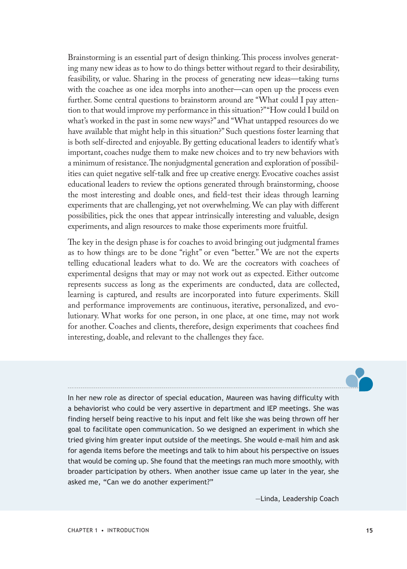Brainstorming is an essential part of design thinking. This process involves generating many new ideas as to how to do things better without regard to their desirability, feasibility, or value. Sharing in the process of generating new ideas—taking turns with the coachee as one idea morphs into another—can open up the process even further. Some central questions to brainstorm around are "What could I pay attention to that would improve my performance in this situation?" "How could I build on what's worked in the past in some new ways?" and "What untapped resources do we have available that might help in this situation?" Such questions foster learning that is both self-directed and enjoyable. By getting educational leaders to identify what's important, coaches nudge them to make new choices and to try new behaviors with a minimum of resistance. The nonjudgmental generation and exploration of possibilities can quiet negative self-talk and free up creative energy. Evocative coaches assist educational leaders to review the options generated through brainstorming, choose the most interesting and doable ones, and field-test their ideas through learning experiments that are challenging, yet not overwhelming. We can play with different possibilities, pick the ones that appear intrinsically interesting and valuable, design experiments, and align resources to make those experiments more fruitful.

The key in the design phase is for coaches to avoid bringing out judgmental frames as to how things are to be done "right" or even "better." We are not the experts telling educational leaders what to do. We are the cocreators with coachees of experimental designs that may or may not work out as expected. Either outcome represents success as long as the experiments are conducted, data are collected, learning is captured, and results are incorporated into future experiments. Skill and performance improvements are continuous, iterative, personalized, and evolutionary. What works for one person, in one place, at one time, may not work for another. Coaches and clients, therefore, design experiments that coachees find interesting, doable, and relevant to the challenges they face.

In her new role as director of special education, Maureen was having difficulty with a behaviorist who could be very assertive in department and IEP meetings. She was finding herself being reactive to his input and felt like she was being thrown off her goal to facilitate open communication. So we designed an experiment in which she tried giving him greater input outside of the meetings. She would e-mail him and ask for agenda items before the meetings and talk to him about his perspective on issues that would be coming up. She found that the meetings ran much more smoothly, with broader participation by others. When another issue came up later in the year, she asked me, "Can we do another experiment?"

—Linda, Leadership Coach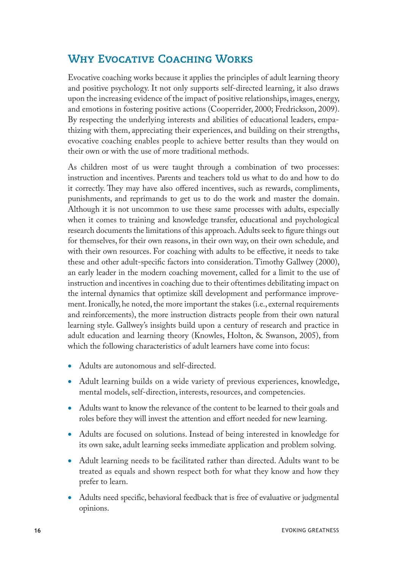### **Why Evocative Coaching Works**

Evocative coaching works because it applies the principles of adult learning theory and positive psychology. It not only supports self-directed learning, it also draws upon the increasing evidence of the impact of positive relationships, images, energy, and emotions in fostering positive actions (Cooperrider, 2000; Fredrickson, 2009). By respecting the underlying interests and abilities of educational leaders, empathizing with them, appreciating their experiences, and building on their strengths, evocative coaching enables people to achieve better results than they would on their own or with the use of more traditional methods.

As children most of us were taught through a combination of two processes: instruction and incentives. Parents and teachers told us what to do and how to do it correctly. They may have also offered incentives, such as rewards, compliments, punishments, and reprimands to get us to do the work and master the domain. Although it is not uncommon to use these same processes with adults, especially when it comes to training and knowledge transfer, educational and psychological research documents the limitations of this approach. Adults seek to figure things out for themselves, for their own reasons, in their own way, on their own schedule, and with their own resources. For coaching with adults to be effective, it needs to take these and other adult-specific factors into consideration. Timothy Gallwey (2000), an early leader in the modern coaching movement, called for a limit to the use of instruction and incentives in coaching due to their oftentimes debilitating impact on the internal dynamics that optimize skill development and performance improvement. Ironically, he noted, the more important the stakes (i.e., external requirements and reinforcements), the more instruction distracts people from their own natural learning style. Gallwey's insights build upon a century of research and practice in adult education and learning theory (Knowles, Holton, & Swanson, 2005), from which the following characteristics of adult learners have come into focus:

- Adults are autonomous and self-directed.
- Adult learning builds on a wide variety of previous experiences, knowledge, mental models, self-direction, interests, resources, and competencies.
- Adults want to know the relevance of the content to be learned to their goals and roles before they will invest the attention and effort needed for new learning.
- Adults are focused on solutions. Instead of being interested in knowledge for its own sake, adult learning seeks immediate application and problem solving.
- Adult learning needs to be facilitated rather than directed. Adults want to be treated as equals and shown respect both for what they know and how they prefer to learn.
- Adults need specific, behavioral feedback that is free of evaluative or judgmental opinions.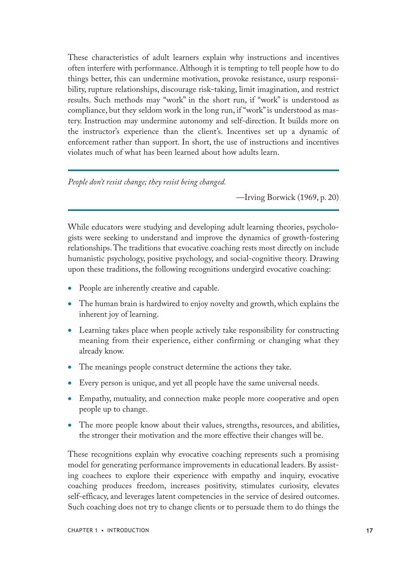These characteristics of adult learners explain why instructions and incentives often interfere with performance. Although it is tempting to tell people how to do things better, this can undermine motivation, provoke resistance, usurp responsibility, rupture relationships, discourage risk-taking, limit imagination, and restrict results. Such methods may "work" in the short run, if "work" is understood as compliance, but they seldom work in the long run, if "work" is understood as mastery. Instruction may undermine autonomy and self-direction. It builds more on the instructor's experience than the client's. Incentives set up a dynamic of enforcement rather than support. In short, the use of instructions and incentives violates much of what has been learned about how adults learn.

*People don't resist change; they resist being changed.*

—Irving Borwick (1969, p. 20)

While educators were studying and developing adult learning theories, psychologists were seeking to understand and improve the dynamics of growth-fostering relationships. The traditions that evocative coaching rests most directly on include humanistic psychology, positive psychology, and social-cognitive theory. Drawing upon these traditions, the following recognitions undergird evocative coaching:

- People are inherently creative and capable.
- The human brain is hardwired to enjoy novelty and growth, which explains the inherent joy of learning.
- Learning takes place when people actively take responsibility for constructing meaning from their experience, either confirming or changing what they already know.
- The meanings people construct determine the actions they take.
- Every person is unique, and yet all people have the same universal needs.
- Empathy, mutuality, and connection make people more cooperative and open people up to change.
- The more people know about their values, strengths, resources, and abilities, the stronger their motivation and the more effective their changes will be.

These recognitions explain why evocative coaching represents such a promising model for generating performance improvements in educational leaders. By assisting coachees to explore their experience with empathy and inquiry, evocative coaching produces freedom, increases positivity, stimulates curiosity, elevates self-efficacy, and leverages latent competencies in the service of desired outcomes. Such coaching does not try to change clients or to persuade them to do things the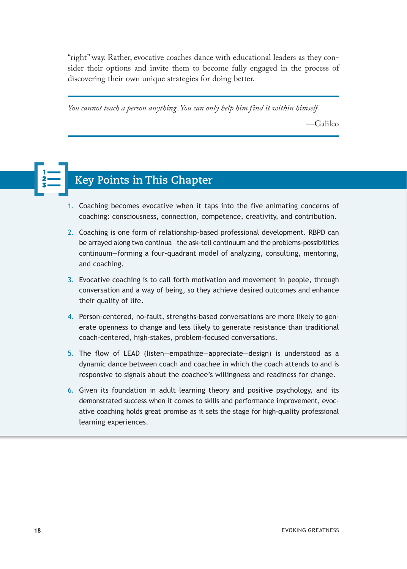"right" way. Rather, evocative coaches dance with educational leaders as they consider their options and invite them to become fully engaged in the process of discovering their own unique strategies for doing better.

*You cannot teach a person anything. You can only help him find it within himself.*

—Galileo

## **Key Points in This Chapter**

- 1. Coaching becomes evocative when it taps into the five animating concerns of coaching: consciousness, connection, competence, creativity, and contribution.
- 2. Coaching is one form of relationship-based professional development. RBPD can be arrayed along two continua—the ask-tell continuum and the problems-possibilities continuum—forming a four-quadrant model of analyzing, consulting, mentoring, and coaching.
- 3. Evocative coaching is to call forth motivation and movement in people, through conversation and a way of being, so they achieve desired outcomes and enhance their quality of life.
- 4. Person-centered, no-fault, strengths-based conversations are more likely to generate openness to change and less likely to generate resistance than traditional coach-centered, high-stakes, problem-focused conversations.
- 5. The flow of LEAD (**l**isten—**e**mpathize—**a**ppreciate—**d**esign) is understood as a dynamic dance between coach and coachee in which the coach attends to and is responsive to signals about the coachee's willingness and readiness for change.
- 6. Given its foundation in adult learning theory and positive psychology, and its demonstrated success when it comes to skills and performance improvement, evocative coaching holds great promise as it sets the stage for high-quality professional learning experiences.